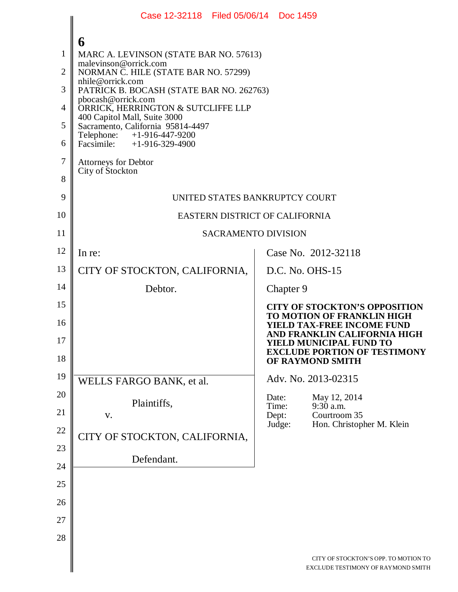|                                                   | Case 12-32118 Filed 05/06/14 Doc 1459                                                                                                                                                                                                                                                                                                                                                                                          |  |                 |                                                                                                                                                                                                                                      |  |
|---------------------------------------------------|--------------------------------------------------------------------------------------------------------------------------------------------------------------------------------------------------------------------------------------------------------------------------------------------------------------------------------------------------------------------------------------------------------------------------------|--|-----------------|--------------------------------------------------------------------------------------------------------------------------------------------------------------------------------------------------------------------------------------|--|
| 1<br>$\overline{2}$<br>3<br>4<br>5<br>6<br>7<br>8 | 6<br>MARC A. LEVINSON (STATE BAR NO. 57613)<br>malevinson@orrick.com<br>NORMAN C. HILE (STATE BAR NO. 57299)<br>nhile@orrick.com<br>PATRICK B. BOCASH (STATE BAR NO. 262763)<br>pbocash@orrick.com<br>ORRICK, HERRINGTON & SUTCLIFFE LLP<br>400 Capitol Mall, Suite 3000<br>Sacramento, California 95814-4497<br>Telephone: +1-916-447-9200<br>Facsimile: $+1-916-329-4900$<br><b>Attorneys for Debtor</b><br>City of Stockton |  |                 |                                                                                                                                                                                                                                      |  |
| 9                                                 | UNITED STATES BANKRUPTCY COURT                                                                                                                                                                                                                                                                                                                                                                                                 |  |                 |                                                                                                                                                                                                                                      |  |
| 10                                                | EASTERN DISTRICT OF CALIFORNIA                                                                                                                                                                                                                                                                                                                                                                                                 |  |                 |                                                                                                                                                                                                                                      |  |
| 11                                                | <b>SACRAMENTO DIVISION</b>                                                                                                                                                                                                                                                                                                                                                                                                     |  |                 |                                                                                                                                                                                                                                      |  |
| 12                                                | In re:                                                                                                                                                                                                                                                                                                                                                                                                                         |  |                 | Case No. 2012-32118                                                                                                                                                                                                                  |  |
| 13                                                | CITY OF STOCKTON, CALIFORNIA,                                                                                                                                                                                                                                                                                                                                                                                                  |  |                 | D.C. No. OHS-15                                                                                                                                                                                                                      |  |
| 14                                                | Debtor.                                                                                                                                                                                                                                                                                                                                                                                                                        |  | Chapter 9       |                                                                                                                                                                                                                                      |  |
| 15<br>16<br>17<br>18                              |                                                                                                                                                                                                                                                                                                                                                                                                                                |  |                 | <b>CITY OF STOCKTON'S OPPOSITION</b><br>TO MOTION OF FRANKLIN HIGH<br><b>YIELD TAX-FREE INCOME FUND</b><br>AND FRANKLIN CALIFORNIA HIGH<br><b>YIELD MUNICIPAL FUND TO</b><br><b>EXCLUDE PORTION OF TESTIMONY</b><br>OF RAYMOND SMITH |  |
| 19                                                | WELLS FARGO BANK, et al.                                                                                                                                                                                                                                                                                                                                                                                                       |  |                 | Adv. No. 2013-02315                                                                                                                                                                                                                  |  |
| 20<br>21                                          | Plaintiffs,                                                                                                                                                                                                                                                                                                                                                                                                                    |  | Date:<br>Time:  | May 12, 2014<br>9:30 a.m.                                                                                                                                                                                                            |  |
| 22                                                | V.                                                                                                                                                                                                                                                                                                                                                                                                                             |  | Dept:<br>Judge: | Courtroom 35<br>Hon. Christopher M. Klein                                                                                                                                                                                            |  |
| 23                                                | CITY OF STOCKTON, CALIFORNIA,                                                                                                                                                                                                                                                                                                                                                                                                  |  |                 |                                                                                                                                                                                                                                      |  |
| 24                                                | Defendant.                                                                                                                                                                                                                                                                                                                                                                                                                     |  |                 |                                                                                                                                                                                                                                      |  |
| 25                                                |                                                                                                                                                                                                                                                                                                                                                                                                                                |  |                 |                                                                                                                                                                                                                                      |  |
| 26                                                |                                                                                                                                                                                                                                                                                                                                                                                                                                |  |                 |                                                                                                                                                                                                                                      |  |
| 27                                                |                                                                                                                                                                                                                                                                                                                                                                                                                                |  |                 |                                                                                                                                                                                                                                      |  |
| 28                                                |                                                                                                                                                                                                                                                                                                                                                                                                                                |  |                 |                                                                                                                                                                                                                                      |  |
|                                                   |                                                                                                                                                                                                                                                                                                                                                                                                                                |  |                 | CITY OF STOCKTON'S OPP. TO MOTION TO<br>EXCLUDE TESTIMONY OF RAYMOND SMITH                                                                                                                                                           |  |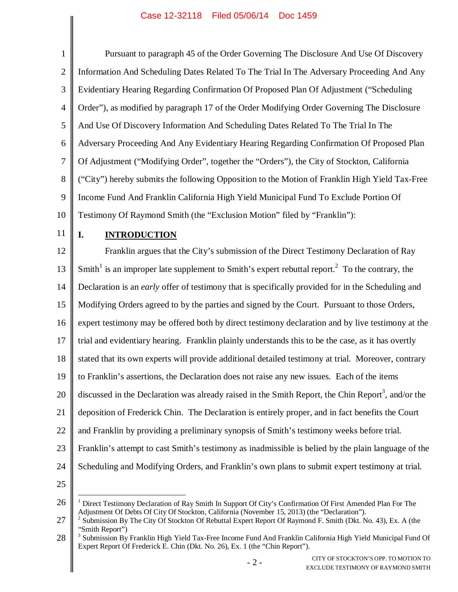| $\mathbf{1}$   | Pursuant to paragraph 45 of the Order Governing The Disclosure And Use Of Discovery                                    |
|----------------|------------------------------------------------------------------------------------------------------------------------|
| $\overline{2}$ | Information And Scheduling Dates Related To The Trial In The Adversary Proceeding And Any                              |
| 3              | Evidentiary Hearing Regarding Confirmation Of Proposed Plan Of Adjustment ("Scheduling                                 |
| 4              | Order"), as modified by paragraph 17 of the Order Modifying Order Governing The Disclosure                             |
| 5              | And Use Of Discovery Information And Scheduling Dates Related To The Trial In The                                      |
| 6              | Adversary Proceeding And Any Evidentiary Hearing Regarding Confirmation Of Proposed Plan                               |
| 7              | Of Adjustment ("Modifying Order", together the "Orders"), the City of Stockton, California                             |
| 8              | ("City") hereby submits the following Opposition to the Motion of Franklin High Yield Tax-Free                         |
| 9              | Income Fund And Franklin California High Yield Municipal Fund To Exclude Portion Of                                    |
| 10             | Testimony Of Raymond Smith (the "Exclusion Motion" filed by "Franklin"):                                               |
| 11             | I.<br><b>INTRODUCTION</b>                                                                                              |
| 12             | Franklin argues that the City's submission of the Direct Testimony Declaration of Ray                                  |
| 13             | Smith <sup>1</sup> is an improper late supplement to Smith's expert rebuttal report. <sup>2</sup> To the contrary, the |
| 14             | Declaration is an early offer of testimony that is specifically provided for in the Scheduling and                     |
| 15             | Modifying Orders agreed to by the parties and signed by the Court. Pursuant to those Orders,                           |
| 16             | expert testimony may be offered both by direct testimony declaration and by live testimony at the                      |
| 17             | trial and evidentiary hearing. Franklin plainly understands this to be the case, as it has overtly                     |
| 18             | stated that its own experts will provide additional detailed testimony at trial. Moreover, contrary                    |
| 19             | to Franklin's assertions, the Declaration does not raise any new issues. Each of the items                             |
| 20             | discussed in the Declaration was already raised in the Smith Report, the Chin Report <sup>3</sup> , and/or the         |
| 21             | deposition of Frederick Chin. The Declaration is entirely proper, and in fact benefits the Court                       |
| 22             | and Franklin by providing a preliminary synopsis of Smith's testimony weeks before trial.                              |
| 23             | Franklin's attempt to cast Smith's testimony as inadmissible is belied by the plain language of the                    |
| 24             | Scheduling and Modifying Orders, and Franklin's own plans to submit expert testimony at trial.                         |
| 25             |                                                                                                                        |
|                |                                                                                                                        |

<sup>26</sup> <sup>1</sup> Direct Testimony Declaration of Ray Smith In Support Of City's Confirmation Of First Amended Plan For The Adjustment Of Debts Of City Of Stockton, California (November 15, 2013) (the "Declaration").<br><sup>2</sup> Submission By The City Of Stockton Of Rebuttal Expert Report Of Raymond F. Smith (Dkt. No. 43), Ex. A (the

<sup>27</sup> "Smith Report")

<sup>28</sup> <sup>3</sup> Submission By Franklin High Yield Tax-Free Income Fund And Franklin California High Yield Municipal Fund Of Expert Report Of Frederick E. Chin (Dkt. No. 26), Ex. 1 (the "Chin Report").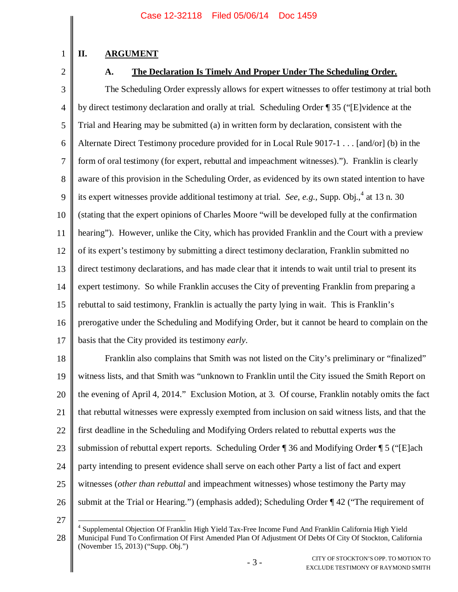# **II. ARGUMENT**

2

1

# **A. The Declaration Is Timely And Proper Under The Scheduling Order.**

3 4 5 6 7 8 9 10 11 12 13 14 15 16 17 The Scheduling Order expressly allows for expert witnesses to offer testimony at trial both by direct testimony declaration and orally at trial. Scheduling Order ¶ 35 ("[E]vidence at the Trial and Hearing may be submitted (a) in written form by declaration, consistent with the Alternate Direct Testimony procedure provided for in Local Rule 9017-1 . . . [and/or] (b) in the form of oral testimony (for expert, rebuttal and impeachment witnesses)."). Franklin is clearly aware of this provision in the Scheduling Order, as evidenced by its own stated intention to have its expert witnesses provide additional testimony at trial. *See*, *e.g.*, Supp. Obj.,<sup>4</sup> at 13 n. 30 (stating that the expert opinions of Charles Moore "will be developed fully at the confirmation hearing"). However, unlike the City, which has provided Franklin and the Court with a preview of its expert's testimony by submitting a direct testimony declaration, Franklin submitted no direct testimony declarations, and has made clear that it intends to wait until trial to present its expert testimony. So while Franklin accuses the City of preventing Franklin from preparing a rebuttal to said testimony, Franklin is actually the party lying in wait. This is Franklin's prerogative under the Scheduling and Modifying Order, but it cannot be heard to complain on the basis that the City provided its testimony *early*.

18 19 20 21 22 23 24 25 26 Franklin also complains that Smith was not listed on the City's preliminary or "finalized" witness lists, and that Smith was "unknown to Franklin until the City issued the Smith Report on the evening of April 4, 2014." Exclusion Motion, at 3. Of course, Franklin notably omits the fact that rebuttal witnesses were expressly exempted from inclusion on said witness lists, and that the first deadline in the Scheduling and Modifying Orders related to rebuttal experts *was* the submission of rebuttal expert reports. Scheduling Order ¶ 36 and Modifying Order ¶ 5 ("[E]ach party intending to present evidence shall serve on each other Party a list of fact and expert witnesses (*other than rebuttal* and impeachment witnesses) whose testimony the Party may submit at the Trial or Hearing.") (emphasis added); Scheduling Order ¶ 42 ("The requirement of

<sup>27</sup>

<sup>28</sup> 4 Supplemental Objection Of Franklin High Yield Tax-Free Income Fund And Franklin California High Yield Municipal Fund To Confirmation Of First Amended Plan Of Adjustment Of Debts Of City Of Stockton, California (November 15, 2013) ("Supp. Obj.")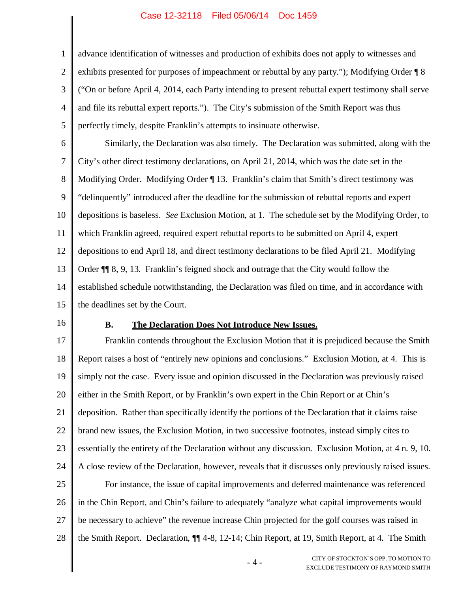advance identification of witnesses and production of exhibits does not apply to witnesses and exhibits presented for purposes of impeachment or rebuttal by any party."); Modifying Order ¶ 8 ("On or before April 4, 2014, each Party intending to present rebuttal expert testimony shall serve and file its rebuttal expert reports."). The City's submission of the Smith Report was thus perfectly timely, despite Franklin's attempts to insinuate otherwise.

6 7 8 9 10 11 12 13 14 15 Similarly, the Declaration was also timely. The Declaration was submitted, along with the City's other direct testimony declarations, on April 21, 2014, which was the date set in the Modifying Order. Modifying Order ¶ 13. Franklin's claim that Smith's direct testimony was "delinquently" introduced after the deadline for the submission of rebuttal reports and expert depositions is baseless. *See* Exclusion Motion, at 1. The schedule set by the Modifying Order, to which Franklin agreed, required expert rebuttal reports to be submitted on April 4, expert depositions to end April 18, and direct testimony declarations to be filed April 21. Modifying Order ¶¶ 8, 9, 13. Franklin's feigned shock and outrage that the City would follow the established schedule notwithstanding, the Declaration was filed on time, and in accordance with the deadlines set by the Court.

16

1

2

3

4

5

### **B. The Declaration Does Not Introduce New Issues.**

17 18 19 20 21 22 23 24 25 26 27 28 Franklin contends throughout the Exclusion Motion that it is prejudiced because the Smith Report raises a host of "entirely new opinions and conclusions." Exclusion Motion, at 4. This is simply not the case. Every issue and opinion discussed in the Declaration was previously raised either in the Smith Report, or by Franklin's own expert in the Chin Report or at Chin's deposition. Rather than specifically identify the portions of the Declaration that it claims raise brand new issues, the Exclusion Motion, in two successive footnotes, instead simply cites to essentially the entirety of the Declaration without any discussion. Exclusion Motion, at 4 n. 9, 10. A close review of the Declaration, however, reveals that it discusses only previously raised issues. For instance, the issue of capital improvements and deferred maintenance was referenced in the Chin Report, and Chin's failure to adequately "analyze what capital improvements would be necessary to achieve" the revenue increase Chin projected for the golf courses was raised in the Smith Report. Declaration, ¶¶ 4-8, 12-14; Chin Report, at 19, Smith Report, at 4. The Smith

> - 4 - CITY OF STOCKTON'S OPP. TO MOTION TO EXCLUDE TESTIMONY OF RAYMOND SMITH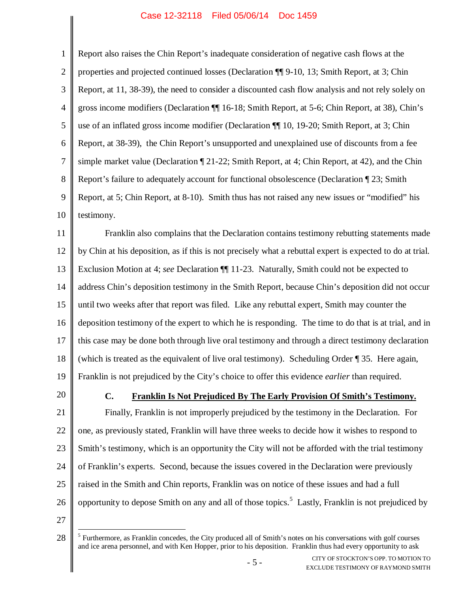1 2 3 4 5 6 7 8 9 10 11 12 13 14 15 16 17 18 19 20 21 22 23 24 25 Report also raises the Chin Report's inadequate consideration of negative cash flows at the properties and projected continued losses (Declaration ¶¶ 9-10, 13; Smith Report, at 3; Chin Report, at 11, 38-39), the need to consider a discounted cash flow analysis and not rely solely on gross income modifiers (Declaration ¶¶ 16-18; Smith Report, at 5-6; Chin Report, at 38), Chin's use of an inflated gross income modifier (Declaration ¶¶ 10, 19-20; Smith Report, at 3; Chin Report, at 38-39), the Chin Report's unsupported and unexplained use of discounts from a fee simple market value (Declaration ¶ 21-22; Smith Report, at 4; Chin Report, at 42), and the Chin Report's failure to adequately account for functional obsolescence (Declaration ¶ 23; Smith Report, at 5; Chin Report, at 8-10). Smith thus has not raised any new issues or "modified" his testimony. Franklin also complains that the Declaration contains testimony rebutting statements made by Chin at his deposition, as if this is not precisely what a rebuttal expert is expected to do at trial. Exclusion Motion at 4; *see* Declaration ¶¶ 11-23. Naturally, Smith could not be expected to address Chin's deposition testimony in the Smith Report, because Chin's deposition did not occur until two weeks after that report was filed. Like any rebuttal expert, Smith may counter the deposition testimony of the expert to which he is responding. The time to do that is at trial, and in this case may be done both through live oral testimony and through a direct testimony declaration (which is treated as the equivalent of live oral testimony). Scheduling Order ¶ 35. Here again, Franklin is not prejudiced by the City's choice to offer this evidence *earlier* than required. **C. Franklin Is Not Prejudiced By The Early Provision Of Smith's Testimony.** Finally, Franklin is not improperly prejudiced by the testimony in the Declaration. For one, as previously stated, Franklin will have three weeks to decide how it wishes to respond to Smith's testimony, which is an opportunity the City will not be afforded with the trial testimony of Franklin's experts. Second, because the issues covered in the Declaration were previously

- 
- 
- 
- raised in the Smith and Chin reports, Franklin was on notice of these issues and had a full
- 26 opportunity to depose Smith on any and all of those topics.<sup>5</sup> Lastly, Franklin is not prejudiced by
- 27

<sup>28</sup>  $<sup>5</sup>$  Furthermore, as Franklin concedes, the City produced all of Smith's notes on his conversations with golf courses</sup> and ice arena personnel, and with Ken Hopper, prior to his deposition. Franklin thus had every opportunity to ask